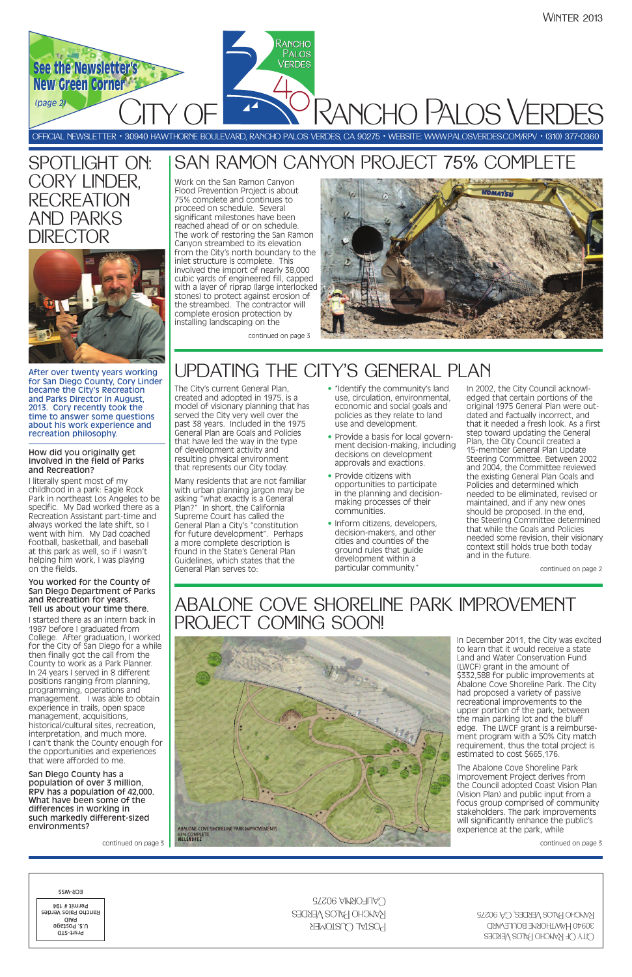

SPOTLIGHT ON:

CORY LINDER,

**RECREATION** 

AND PARKS

After over twenty years working for San Diego County, Cory Linder became the City's Recreation and Parks Director in August, 2013. Cory recently took the time to answer some questions about his work experience and recreation philosophy.

### How did you originally get involved in the field of Parks and Recreation?

I literally spent most of my childhood in a park: Eagle Rock Park in northeast Los Angeles to be specific. My Dad worked there as a Recreation Assistant part-time and always worked the late shift, so I went with him. My Dad coached football, basketball, and baseball at this park as well, so if I wasn't helping him work, I was playing on the fields.

### You worked for the County of San Diego Department of Parks and Recreation for years. Tell us about your time there.

I started there as an intern back in 1987 before I graduated from College. After graduation, I worked for the City of San Diego for a while then finally got the call from the County to work as a Park Planner. In 24 years I served in 8 different positions ranging from planning, programming, operations and management. I was able to obtain experience in trails, open space management, acquisitions,

historical/cultural sites, recreation, interpretation, and much more. I can't thank the County enough for the opportunities and experiences that were afforded to me.

San Diego County has a population of over 3 million, RPV has a population of 42,000. What have been some of the differences in working in such markedly different-sized environments?

**ABALONE COVE SHORELINE PARK IMPROVEMENTS 85% COMPLETE**<br>MELÉNDREZ

continued on page 3

# UPDATING THE CITY'S GENERAL PLAN

The City's current General Plan, created and adopted in 1975, is a model of visionary planning that has served the City very well over the past 38 years. Included in the 1975 General Plan are Goals and Policies that have led the way in the type of development activity and resulting physical environment that represents our City today.

Many residents that are not familiar with urban planning jargon may be asking "what exactly is a General Plan?" In short, the California Supreme Court has called the General Plan a City's "constitution for future development". Perhaps a more complete description is found in the State's General Plan Guidelines, which states that the General Plan serves to:

- "Identify the community's land use, circulation, environmental, economic and social goals and policies as they relate to land use and development.
- Provide a basis for local government decision-making, including decisions on development approvals and exactions.
- Provide citizens with opportunities to participate in the planning and decisionmaking processes of their communities.
- Inform citizens, developers, decision-makers, and other cities and counties of the ground rules that guide development within a particular community."

In 2002, the City Council acknowledged that certain portions of the original 1975 General Plan were outdated and factually incorrect, and that it needed a fresh look. As a first step toward updating the General Plan, the City Council created a 15-member General Plan Update Steering Committee. Between 2002 and 2004, the Committee reviewed the existing General Plan Goals and Policies and determined which needed to be eliminated, revised or maintained, and if any new ones should be proposed. In the end, the Steering Committee determined that while the Goals and Policies needed some revision, their visionary context still holds true both today and in the future.

# SAN RAMON CANYON PROJECT 75% COMPLETE

Work on the San Ramon Canyon Flood Prevention Project is about 75% complete and continues to proceed on schedule. Several significant milestones have been reached ahead of or on schedule. The work of restoring the San Ramon Canyon streambed to its elevation from the City's north boundary to the inlet structure is complete. This involved the import of nearly 38,000 cubic yards of engineered fill, capped with a layer of riprap (large interlocked stones) to protect against erosion of the streambed. The contractor will complete erosion protection by installing landscaping on the



# ABALONE COVE SHORELINE PARK IMPROVEMENT PROJECT COMING SOON!



In December 2011, the City was excited to learn that it would receive a state Land and Water Conservation Fund (LWCF) grant in the amount of \$332,588 for public improvements at Abalone Cove Shoreline Park. The City had proposed a variety of passive recreational improvements to the upper portion of the park, between the main parking lot and the bluff edge. The LWCF grant is a reimbursement program with a 50% City match requirement, thus the total project is estimated to cost \$665,176.

# **DIRECTOR**

The Abalone Cove Shoreline Park Improvement Project derives from the Council adopted Coast Vision Plan (Vision Plan) and public input from a focus group comprised of community stakeholders. The park improvements will significantly enhance the public's experience at the park, while

continued on page 3

continued on page 2

continued on page 3

| ECK-M22<br>$C$ ALIFORNIA 90275<br>Permit # 194<br>KANCHO HALOS VERDES<br>Rancho Palos Verdes<br>aiaq<br>POSTAL CUSTOMER<br>u.s. Postage<br>Prs-t-STD | RANCHO PALOS VERDES, CA 90275<br>30940 HAWTHORNE BOULEVARD<br>CITY OF RANCHO PALOS VERDES |
|------------------------------------------------------------------------------------------------------------------------------------------------------|-------------------------------------------------------------------------------------------|
|------------------------------------------------------------------------------------------------------------------------------------------------------|-------------------------------------------------------------------------------------------|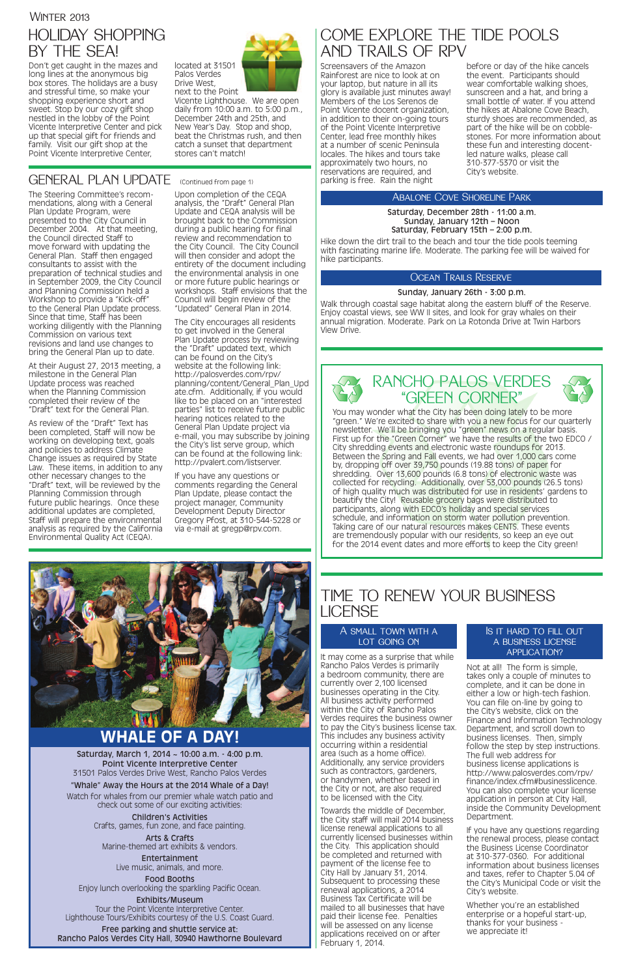# COME EXPLORE THE TIDE POOLS AND TRAILS OF RPV

Screensavers of the Amazon Rainforest are nice to look at on your laptop, but nature in all its glory is available just minutes away! Members of the Los Serenos de Point Vicente docent organization, in addition to their on-going tours of the Point Vicente Interpretive Center, lead free monthly hikes at a number of scenic Peninsula locales. The hikes and tours take approximately two hours, no reservations are required, and parking is free. Rain the night

# TIME TO RENEW YOUR BUSINESS **LICENSE**

### A SMALL TOWN WITH A LOT GOING ON

before or day of the hike cancels the event. Participants should wear comfortable walking shoes, sunscreen and a hat, and bring a small bottle of water. If you attend the hikes at Abalone Cove Beach, sturdy shoes are recommended, as part of the hike will be on cobblestones. For more information about these fun and interesting docentled nature walks, please call 310-377-5370 or visit the City's website.

### Abalone Cove Shoreline Park

### Ocean Trails Reserve

### Is it hard to fill out a business license APPLICATION?

It may come as a surprise that while Rancho Palos Verdes is primarily a bedroom community, there are currently over 2,100 licensed businesses operating in the City. All business activity performed within the City of Rancho Palos Verdes requires the business owner to pay the City's business license tax. This includes any business activity occurring within a residential area (such as a home office). Additionally, any service providers such as contractors, gardeners, or handymen, whether based in the City or not, are also required to be licensed with the City. Towards the middle of December, the City staff will mail 2014 business license renewal applications to all currently licensed businesses within the City. This application should be completed and returned with payment of the license fee to City Hall by January 31, 2014. Subsequent to processing these renewal applications, a 2014 Business Tax Certificate will be mailed to all businesses that have paid their license fee. Penalties will be assessed on any license applications received on or after February 1, 2014.

You may wonder what the City has been doing lately to be more "green." We're excited to share with you a new focus for our quarterly newsletter. We'll be bringing you "green" news on a regular basis. First up for the "Green Corner" we have the results of the two EDCO / City shredding events and electronic waste roundups for 2013. Between the Spring and Fall events, we had over 1,000 cars come by, dropping off over 39,750 pounds (19.88 tons) of paper for shredding. Over 13,600 pounds (6.8 tons) of electronic waste was collected for recycling. Additionally, over 53,000 pounds (26.5 tons) of high quality much was distributed for use in residents' gardens to beautify the City! Reusable grocery bags were distributed to participants, along with EDCO's holiday and special services schedule, and information on storm water pollution prevention. Taking care of our natural resources makes CENTS. These events are tremendously popular with our residents, so keep an eye out for the 2014 event dates and more efforts to keep the City green!

# **MARKET AND START AND START AND START AND START AND START AND START AND START AND START AND START AND START AND**

### References in the second and a **WHALE OF A DAY!**

Not at all! The form is simple, takes only a couple of minutes to complete, and it can be done in either a low or high-tech fashion. You can file on-line by going to the City's website, click on the Finance and Information Technology Department, and scroll down to business licenses. Then, simply follow the step by step instructions. The full web address for business license applications is http://www.palosverdes.com/rpv/ finance/index.cfm#businesslicence. You can also complete your license application in person at City Hall, inside the Community Development Department. If you have any questions regarding the renewal process, please contact the Business License Coordinator at 310-377-0360. For additional information about business licenses and taxes, refer to Chapter 5.04 of the City's Municipal Code or visit the City's website.

Whether you're an established enterprise or a hopeful start-up, thanks for your business we appreciate it!

# **WINTER 2013** HOLIDAY SHOPPING BY THE SEA!

Don't get caught in the mazes and long lines at the anonymous big box stores. The holidays are a busy and stressful time, so make your shopping experience short and sweet. Stop by our cozy gift shop nestled in the lobby of the Point Vicente Interpretive Center and pick up that special gift for friends and family. Visit our gift shop at the Point Vicente Interpretive Center,



Palos Verdes Drive West, next to the Point

Vicente Lighthouse. We are open daily from 10:00 a.m. to 5:00 p.m., December 24th and 25th, and New Year's Day. Stop and shop, beat the Christmas rush, and then catch a sunset that department stores can't match!

### GENERAL PLAN UPDATE (Continued from page 1)





Saturday, March 1, 2014 ~ 10:00 a.m. - 4:00 p.m. Point Vicente Interpretive Center 31501 Palos Verdes Drive West, Rancho Palos Verdes "Whale" Away the Hours at the 2014 Whale of a Day! Watch for whales from our premier whale watch patio and check out some of our exciting activities:

> Children's Activities Crafts, games, fun zone, and face painting.

Arts & Crafts Marine-themed art exhibits & vendors.

> Entertainment Live music, animals, and more.

Food Booths Enjoy lunch overlooking the sparkling Pacific Ocean.

### Exhibits/Museum

Tour the Point Vicente Interpretive Center. Lighthouse Tours/Exhibits courtesy of the U.S. Coast Guard.

Free parking and shuttle service at: Rancho Palos Verdes City Hall, 30940 Hawthorne Boulevard Saturday, December 28th - 11:00 a.m. Sunday, January 12th – Noon Saturday, February 15th – 2:00 p.m.

Hike down the dirt trail to the beach and tour the tide pools teeming with fascinating marine life. Moderate. The parking fee will be waived for hike participants.

### Sunday, January 26th - 3:00 p.m.

Walk through coastal sage habitat along the eastern bluff of the Reserve. Enjoy coastal views, see WW II sites, and look for gray whales on their annual migration. Moderate. Park on La Rotonda Drive at Twin Harbors View Drive.

The Steering Committee's recommendations, along with a General Plan Update Program, were presented to the City Council in December 2004. At that meeting, the Council directed Staff to move forward with updating the General Plan. Staff then engaged consultants to assist with the preparation of technical studies and in September 2009, the City Council and Planning Commission held a Workshop to provide a "Kick-off" to the General Plan Update process. Since that time, Staff has been working diligently with the Planning Commission on various text revisions and land use changes to bring the General Plan up to date.

At their August 27, 2013 meeting, a milestone in the General Plan Update process was reached when the Planning Commission completed their review of the "Draft" text for the General Plan.

As review of the "Draft" Text has been completed, Staff will now be working on developing text, goals and policies to address Climate Change issues as required by State Law. These items, in addition to any other necessary changes to the "Draft" text, will be reviewed by the Planning Commission through future public hearings. Once these additional updates are completed, Staff will prepare the environmental analysis as required by the California Environmental Quality Act (CEQA).

Upon completion of the CEQA analysis, the "Draft" General Plan Update and CEQA analysis will be brought back to the Commission during a public hearing for final review and recommendation to the City Council. The City Council will then consider and adopt the entirety of the document including the environmental analysis in one or more future public hearings or workshops. Staff envisions that the Council will begin review of the "Updated" General Plan in 2014.

The City encourages all residents to get involved in the General Plan Update process by reviewing the "Draft" updated text, which can be found on the City's website at the following link: http://palosverdes.com/rpv/ planning/content/General\_Plan\_Upd ate.cfm. Additionally, if you would like to be placed on an "interested parties" list to receive future public hearing notices related to the General Plan Update project via e-mail, you may subscribe by joining the City's list serve group, which can be found at the following link: http://pvalert.com/listserver.

If you have any questions or comments regarding the General Plan Update, please contact the project manager, Community Development Deputy Director Gregory Pfost, at 310-544-5228 or via e-mail at gregp@rpv.com.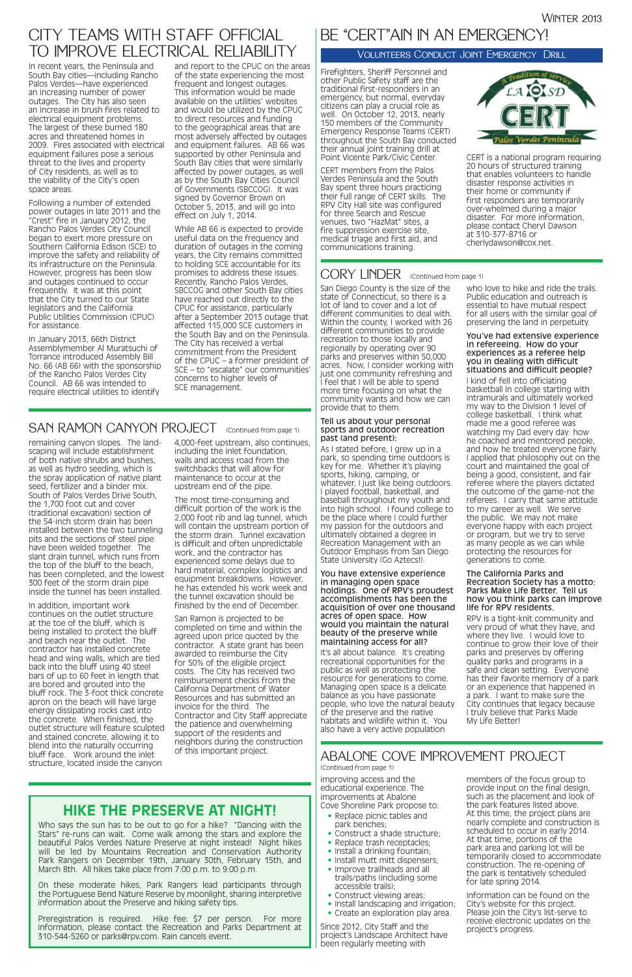## **HIKE THE PRESERVE AT NIGHT!**

Who says the sun has to be out to go for a hike? "Dancing with the Stars" re-runs can wait. Come walk among the stars and explore the beautiful Palos Verdes Nature Preserve at night instead! Night hikes will be led by Mountains Recreation and Conservation Authority Park Rangers on December 19th, January 30th, February 15th, and March 8th. All hikes take place from 7:00 p.m. to 9:00 p.m.

On these moderate hikes, Park Rangers lead participants through the Portuguese Bend Nature Reserve by moonlight, sharing interpretive information about the Preserve and hiking safety tips.

Preregistration is required. Hike fee: \$7 per person. For more information, please contact the Recreation and Parks Department at 310-544-5260 or parks@rpv.com. Rain cancels event.

# CITY TEAMS WITH STAFF OFFICIAL TO IMPROVE ELECTRICAL RELIABILITY

In recent years, the Peninsula and South Bay cities—including Rancho Palos Verdes—have experienced an increasing number of power outages. The City has also seen an increase in brush fires related to electrical equipment problems. The largest of these burned 180 acres and threatened homes in 2009. Fires associated with electrical equipment failures pose a serious threat to the lives and property of City residents, as well as to the viability of the City's open space areas.

Following a number of extended power outages in late 2011 and the "Crest" fire in January 2012, the Rancho Palos Verdes City Council began to exert more pressure on Southern California Edison (SCE) to improve the safety and reliability of its infrastructure on the Peninsula. However, progress has been slow and outages continued to occur frequently. It was at this point that the City turned to our State legislators and the California Public Utilities Commission (CPUC) for assistance.

In January 2013, 66th District Assemblymember Al Muratsuchi of Torrance introduced Assembly Bill No. 66 (AB 66) with the sponsorship of the Rancho Palos Verdes City Council. AB 66 was intended to require electrical utilities to identify

and report to the CPUC on the areas of the state experiencing the most frequent and longest outages. This information would be made available on the utilities' websites and would be utilized by the CPUC to direct resources and funding to the geographical areas that are most adversely affected by outages and equipment failures. AB 66 was supported by other Peninsula and South Bay cities that were similarly affected by power outages, as well as by the South Bay Cities Council of Governments (SBCCOG). It was signed by Governor Brown on October 5, 2013, and will go into effect on July 1, 2014.

While AB 66 is expected to provide useful data on the frequency and duration of outages in the coming years, the City remains committed to holding SCE accountable for its promises to address these issues. Recently, Rancho Palos Verdes, SBCCOG and other South Bay cities have reached out directly to the CPUC for assistance, particularly after a September 2013 outage that affected 115,000 SCE customers in the South Bay and on the Peninsula. The City has received a verbal commitment from the President of the CPUC – a former president of SCE – to "escalate" our communities' concerns to higher levels of SCE management.

> improving access and the educational experience. The improvements at Abalone Cove Shoreline Park propose to:

- Replace picnic tables and park benches;
- Construct a shade structure;
- Replace trash receptacles;
- Install a drinking fountain;
- Install mutt mitt dispensers;
- Improve trailheads and all trails/paths (including some accessible trails);
- Construct viewing areas;
- Install landscaping and irrigation;
- Create an exploration play area.

Since 2012, City Staff and the project's Landscape Architect have been regularly meeting with

members of the focus group to provide input on the final design, such as the placement and look of the park features listed above. At this time, the project plans are nearly complete and construction is scheduled to occur in early 2014. At that time, portions of the park area and parking lot will be temporarily closed to accommodate construction. The re-opening of the park is tentatively scheduled for late spring 2014.

It's all about balance. It's creating recreational opportunities for the public as well as protecting the resource for generations to come. Managing open space is a delicate balance as you have passionate people, who love the natural beauty of the preserve and the native

> Information can be found on the City's website for this project. Please join the City's list-serve to receive electronic updates on the project's progress.

### ABALONE COVE IMPROVEMENT PROJECT (Continued from page 1)

remaining canyon slopes. The landscaping will include establishment of both native shrubs and bushes, as well as hydro seeding, which is the spray application of native plant seed, fertilizer and a binder mix. South of Palos Verdes Drive South, the 1,700 foot cut and cover (traditional excavation) section of the 54-inch storm drain has been installed between the two tunneling pits and the sections of steel pipe have been welded together. The slant drain tunnel, which runs from the top of the bluff to the beach, has been completed, and the lowest 300 feet of the storm drain pipe inside the tunnel has been installed.

In addition, important work continues on the outlet structure at the toe of the bluff, which is being installed to protect the bluff and beach near the outlet. The contractor has installed concrete head and wing walls, which are tied back into the bluff using 40 steel bars of up to 60 feet in length that are bored and grouted into the bluff rock. The 3-foot thick concrete apron on the beach will have large energy dissipating rocks cast into the concrete. When finished, the outlet structure will feature sculpted and stained concrete, allowing it to blend into the naturally occurring bluff face. Work around the inlet structure, located inside the canyon

4,000-feet upstream, also continues, including the inlet foundation, walls and access road from the switchbacks that will allow for maintenance to occur at the upstream end of the pipe.

The most time-consuming and difficult portion of the work is the 2,000 foot rib and lag tunnel, which will contain the upstream portion of the storm drain. Tunnel excavation is difficult and often unpredictable work, and the contractor has experienced some delays due to hard material, complex logistics and equipment breakdowns. However, he has extended his work week and the tunnel excavation should be finished by the end of December.

San Ramon is projected to be completed on time and within the agreed upon price quoted by the contractor. A state grant has been awarded to reimburse the City for 50% of the eligible project costs. The City has received two reimbursement checks from the California Department of Water Resources and has submitted an invoice for the third. The Contractor and City Staff appreciate

### the patience and overwhelming support of the residents and neighbors during the construction of this important project.

San Diego County is the size of the state of Connecticut, so there is a lot of land to cover and a lot of different communities to deal with. Within the county, I worked with 26 different communities to provide recreation to those locally and regionally by operating over 90 parks and preserves within 50,000 acres. Now, I consider working with just one community refreshing and I feel that I will be able to spend more time focusing on what the community wants and how we can provide that to them.

### Tell us about your personal sports and outdoor recreation past (and present):

As I stated before, I grew up in a park, so spending time outdoors is key for me. Whether it's playing sports, hiking, camping, or whatever, I just like being outdoors. I played football, basketball, and baseball throughout my youth and into high school. I found college to be the place where I could further my passion for the outdoors and ultimately obtained a degree in Recreation Management with an Outdoor Emphasis from San Diego State University (Go Aztecs!).

You have extensive experience in managing open space holdings. One of RPV's proudest accomplishments has been the acquisition of over one thousand acres of open space. How would you maintain the natural beauty of the preserve while maintaining access for all?

habitats and wildlife within it. You also have a very active population

who love to hike and ride the trails. Public education and outreach is essential to have mutual respect for all users with the similar goal of preserving the land in perpetuity.

### You've had extensive experience in refereeing. How do your experiences as a referee help you in dealing with difficult situations and difficult people?

I kind of fell into officiating basketball in college starting with intramurals and ultimately worked my way to the Division 1 level of college basketball. I think what made me a good referee was watching my Dad every day: how he coached and mentored people, and how he treated everyone fairly. I applied that philosophy out on the court and maintained the goal of being a good, consistent, and fair referee where the players dictated the outcome of the game-not the referees. I carry that same attitude to my career as well. We serve the public. We may not make everyone happy with each project or program, but we try to serve as many people as we can while protecting the resources for generations to come.

### The California Parks and Recreation Society has a motto: Parks Make Life Better. Tell us how you think parks can improve life for RPV residents.

RPV is a tight-knit community and very proud of what they have, and where they live. I would love to continue to grow their love of their parks and preserves by offering quality parks and programs in a safe and clean setting. Everyone has their favorite memory of a park or an experience that happened in a park. I want to make sure the City continues that legacy because I truly believe that Parks Made

# SAN RAMON CANYON PROJECT (Continued from page 1)

My Life Better!

# BE "CERT"AIN IN AN EMERGENCY!

Firefighters, Sheriff Personnel and other Public Safety staff are the traditional first-responders in an emergency, but normal, everyday citizens can play a crucial role as well. On October 12, 2013, nearly 150 members of the Community Emergency Response Teams (CERT) throughout the South Bay conducted their annual joint training drill at Point Vicente Park/Civic Center.

CERT members from the Palos Verdes Peninsula and the South Bay spent three hours practicing their full range of CERT skills. The RPV City Hall site was configured for three Search and Rescue venues, two "HazMat" sites, a fire suppression exercise site, medical triage and first aid, and communications training.



CERT is a national program requiring 20 hours of structured training that enables volunteers to handle disaster response activities in their home or community if first responders are temporarily over-whelmed during a major disaster. For more information, please contact Cheryl Dawson at 310-377-8716 or cherlydawson@cox.net.

### CORY LINDER (Continued from page 1)

### Volunteers Conduct Joint Emergency Drill